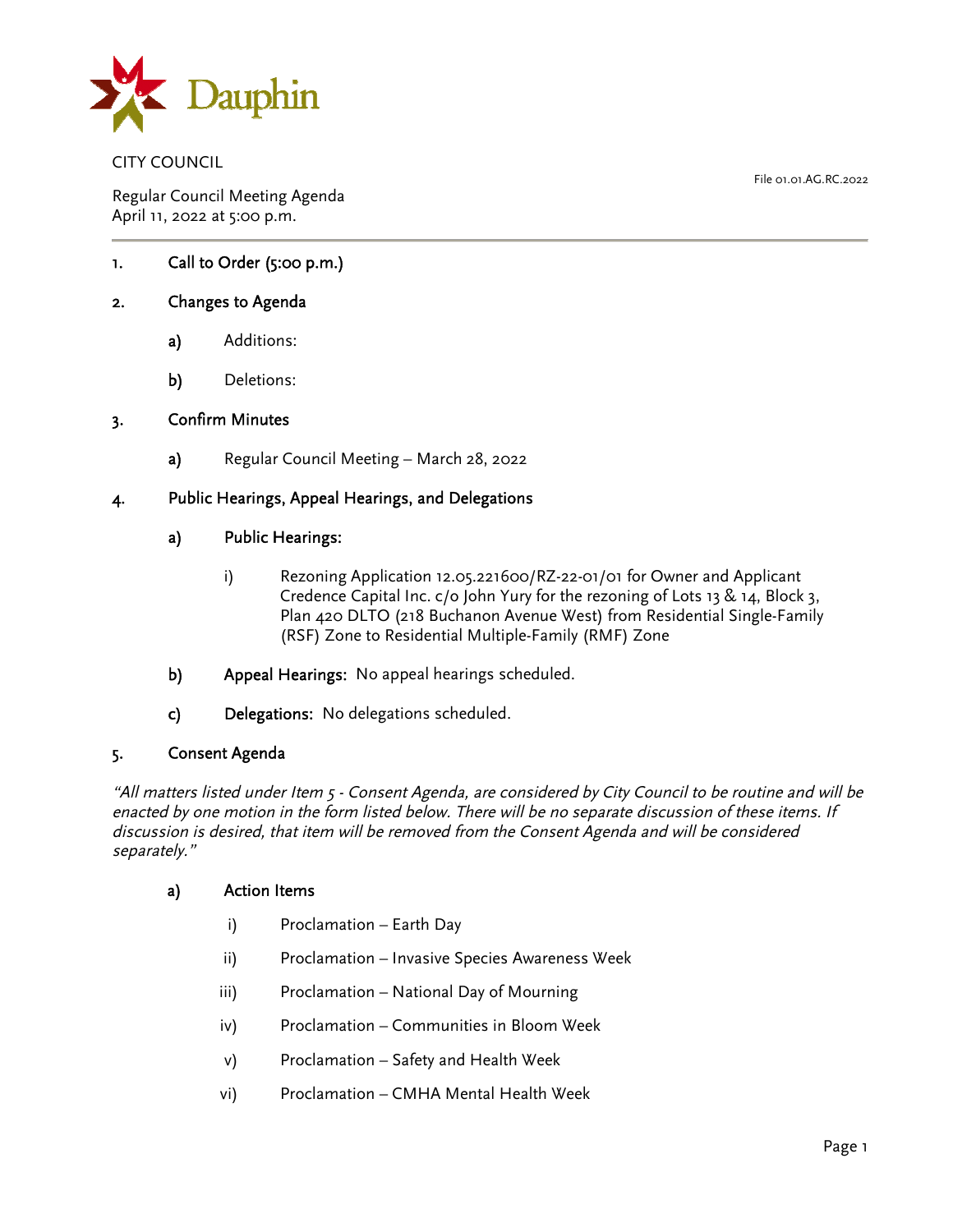

CITY COUNCIL

Regular Council Meeting Agenda April 11, 2022 at 5:00 p.m.

1. Call to Order (5:00 p.m.)

## 2. Changes to Agenda

- a) Additions:
- b) Deletions:

#### 3. Confirm Minutes

a) Regular Council Meeting – March 28, 2022

### 4. Public Hearings, Appeal Hearings, and Delegations

### a) Public Hearings:

- i) Rezoning Application 12.05.221600/RZ-22-01/01 for Owner and Applicant Credence Capital Inc. c/o John Yury for the rezoning of Lots 13 & 14, Block 3, Plan 420 DLTO (218 Buchanon Avenue West) from Residential Single-Family (RSF) Zone to Residential Multiple-Family (RMF) Zone
- b) Appeal Hearings: No appeal hearings scheduled.
- c) Delegations: No delegations scheduled.

## 5. Consent Agenda

"All matters listed under Item 5 - Consent Agenda, are considered by City Council to be routine and will be enacted by one motion in the form listed below. There will be no separate discussion of these items. If discussion is desired, that item will be removed from the Consent Agenda and will be considered separately."

#### a) Action Items

- i) Proclamation Earth Day
- ii) Proclamation Invasive Species Awareness Week
- iii) Proclamation National Day of Mourning
- iv) Proclamation Communities in Bloom Week
- v) Proclamation Safety and Health Week
- vi) Proclamation CMHA Mental Health Week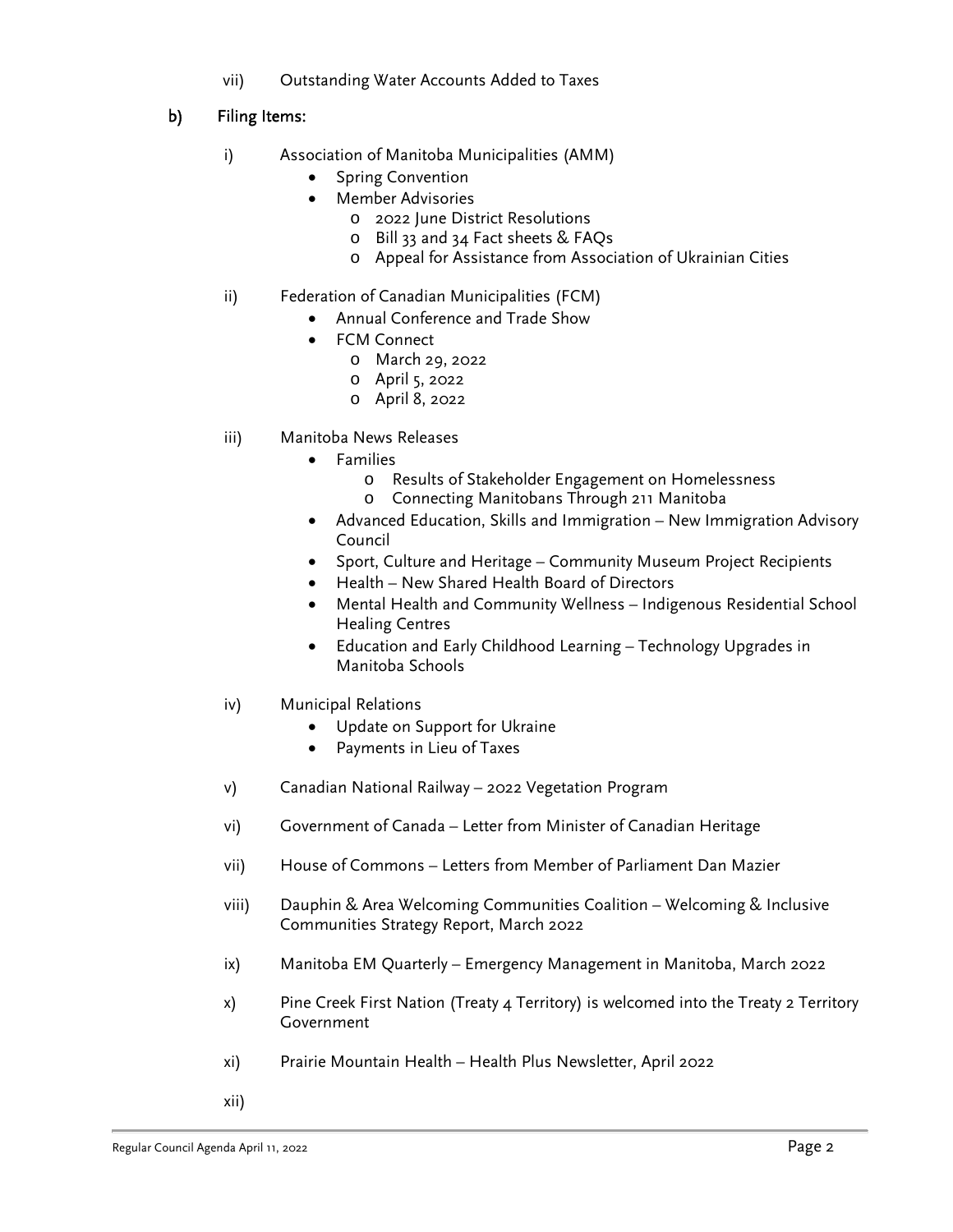vii) Outstanding Water Accounts Added to Taxes

# b) Filing Items:

- i) Association of Manitoba Municipalities (AMM)
	- Spring Convention
	- Member Advisories
		- o 2022 June District Resolutions
		- o Bill 33 and 34 Fact sheets & FAQs
		- o Appeal for Assistance from Association of Ukrainian Cities
- ii) Federation of Canadian Municipalities (FCM)
	- Annual Conference and Trade Show
	- FCM Connect
		- o March 29, 2022
		- o April 5, 2022
		- o April 8, 2022
- iii) Manitoba News Releases
	- Families
		- o Results of Stakeholder Engagement on Homelessness
		- o Connecting Manitobans Through 211 Manitoba
	- Advanced Education, Skills and Immigration New Immigration Advisory Council
	- Sport, Culture and Heritage Community Museum Project Recipients
	- Health New Shared Health Board of Directors
	- Mental Health and Community Wellness Indigenous Residential School Healing Centres
	- Education and Early Childhood Learning Technology Upgrades in Manitoba Schools
- iv) Municipal Relations
	- Update on Support for Ukraine
	- Payments in Lieu of Taxes
- v) Canadian National Railway 2022 Vegetation Program
- vi) Government of Canada Letter from Minister of Canadian Heritage
- vii) House of Commons Letters from Member of Parliament Dan Mazier
- viii) Dauphin & Area Welcoming Communities Coalition Welcoming & Inclusive Communities Strategy Report, March 2022
- ix) Manitoba EM Quarterly Emergency Management in Manitoba, March 2022
- x) Pine Creek First Nation (Treaty 4 Territory) is welcomed into the Treaty 2 Territory Government
- xi) Prairie Mountain Health Health Plus Newsletter, April 2022
- xii)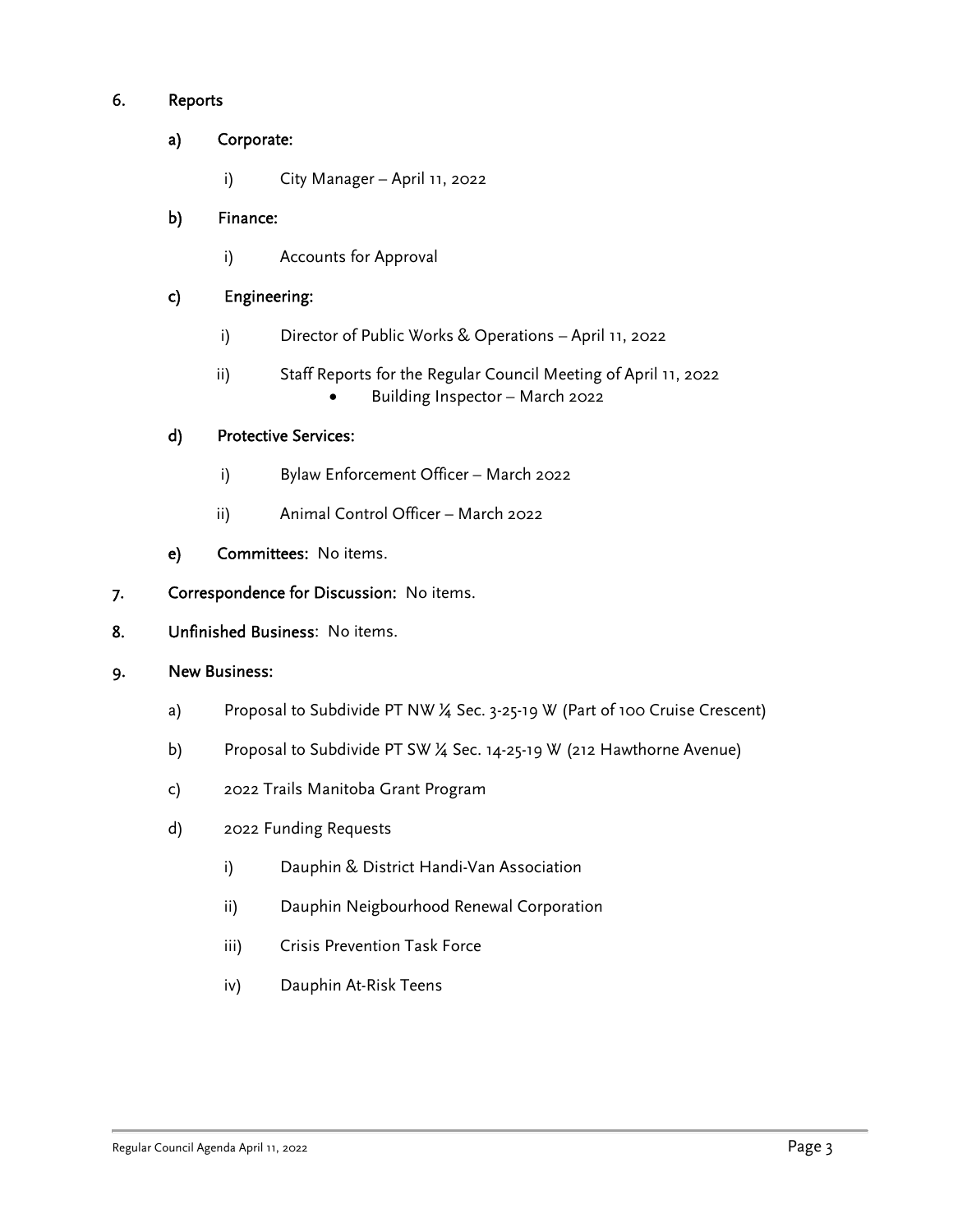# 6. Reports

# a) Corporate:

i) City Manager – April 11, 2022

# b) Finance:

i) Accounts for Approval

## c) Engineering:

- i) Director of Public Works & Operations April 11, 2022
- ii) Staff Reports for the Regular Council Meeting of April 11, 2022 Building Inspector – March 2022

## d) Protective Services:

- i) Bylaw Enforcement Officer March 2022
- ii) Animal Control Officer March 2022
- e) Committees: No items.
- 7. Correspondence for Discussion: No items.
- 8. Unfinished Business: No items.

## 9. New Business:

- a) Proposal to Subdivide PT NW ¼ Sec. 3-25-19 W (Part of 100 Cruise Crescent)
- b) Proposal to Subdivide PT SW ¼ Sec. 14-25-19 W (212 Hawthorne Avenue)
- c) 2022 Trails Manitoba Grant Program
- d) 2022 Funding Requests
	- i) Dauphin & District Handi-Van Association
	- ii) Dauphin Neigbourhood Renewal Corporation
	- iii) Crisis Prevention Task Force
	- iv) Dauphin At-Risk Teens